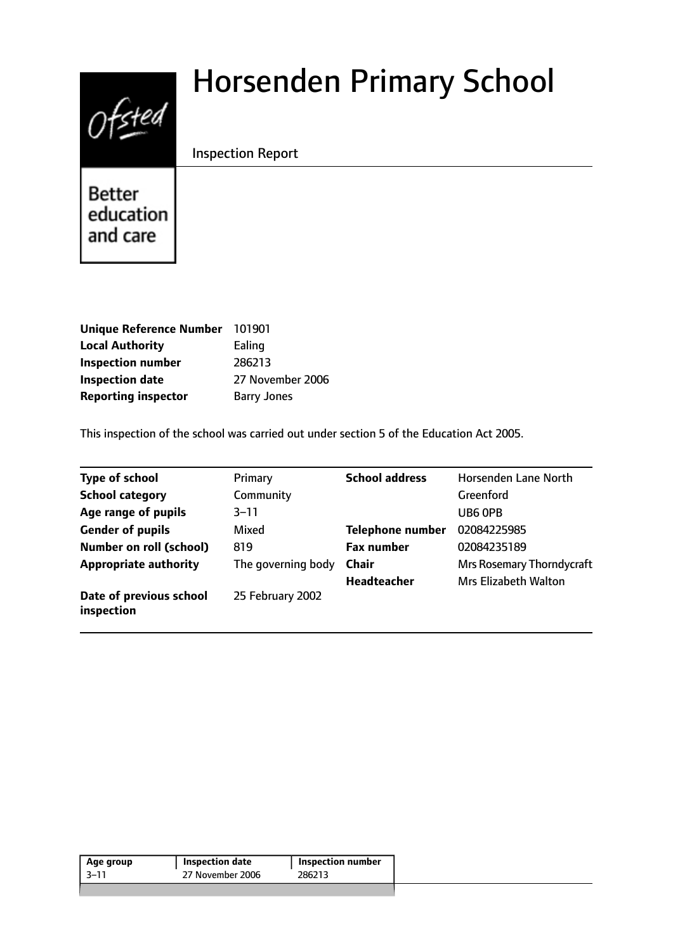# $0$ fsted

# Horsenden Primary School

#### Inspection Report

**Better** education and care

| Unique Reference Number 101901 |                    |
|--------------------------------|--------------------|
| <b>Local Authority</b>         | Ealing             |
| <b>Inspection number</b>       | 286213             |
| <b>Inspection date</b>         | 27 November 2006   |
| <b>Reporting inspector</b>     | <b>Barry Jones</b> |

This inspection of the school was carried out under section 5 of the Education Act 2005.

| <b>Type of school</b>                 | Primary            | <b>School address</b>   | Horsenden Lane North             |
|---------------------------------------|--------------------|-------------------------|----------------------------------|
| <b>School category</b>                | Community          |                         | Greenford                        |
| Age range of pupils                   | $3 - 11$           |                         | UB6 OPB                          |
| <b>Gender of pupils</b>               | Mixed              | <b>Telephone number</b> | 02084225985                      |
| <b>Number on roll (school)</b>        | 819                | <b>Fax number</b>       | 02084235189                      |
| <b>Appropriate authority</b>          | The governing body | <b>Chair</b>            | <b>Mrs Rosemary Thorndycraft</b> |
|                                       |                    | Headteacher             | <b>Mrs Elizabeth Walton</b>      |
| Date of previous school<br>inspection | 25 February 2002   |                         |                                  |

| Age group | Inspection date  | <b>Inspection number</b> |
|-----------|------------------|--------------------------|
| -3–11     | 27 November 2006 | 286213                   |
|           |                  |                          |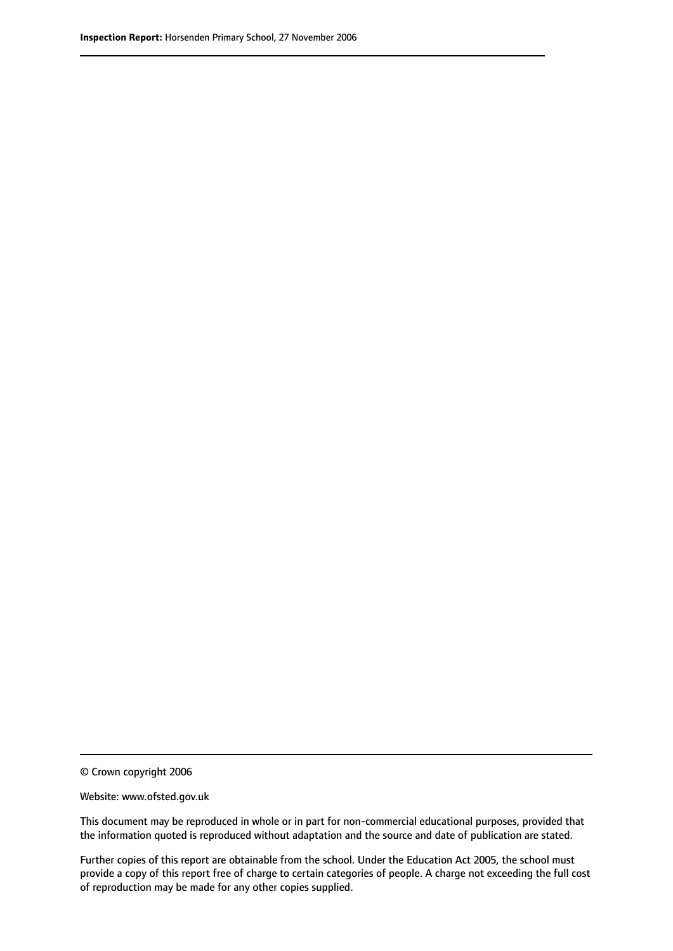© Crown copyright 2006

Website: www.ofsted.gov.uk

This document may be reproduced in whole or in part for non-commercial educational purposes, provided that the information quoted is reproduced without adaptation and the source and date of publication are stated.

Further copies of this report are obtainable from the school. Under the Education Act 2005, the school must provide a copy of this report free of charge to certain categories of people. A charge not exceeding the full cost of reproduction may be made for any other copies supplied.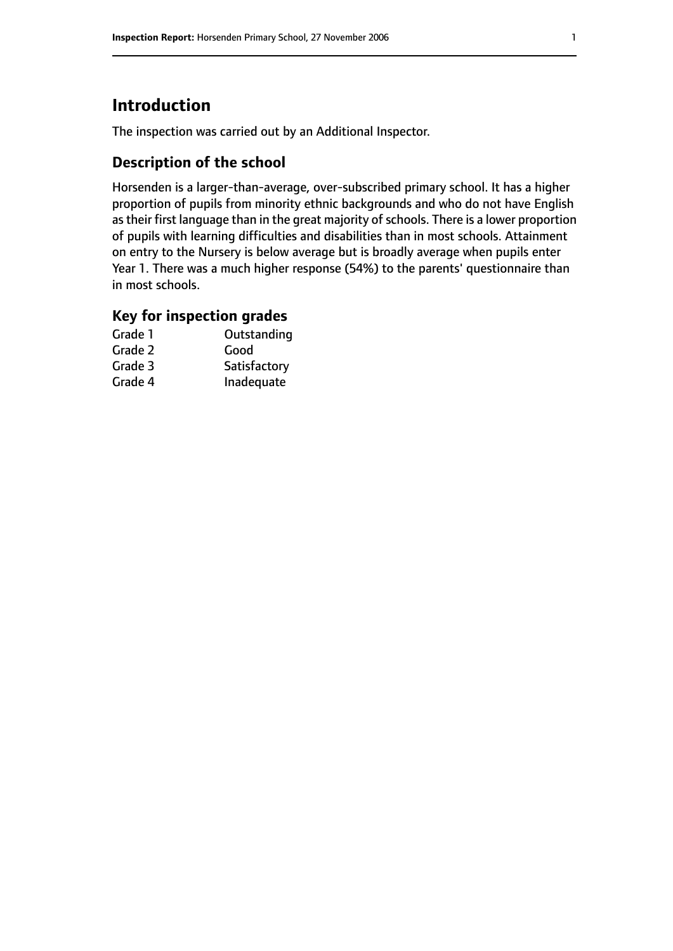# **Introduction**

The inspection was carried out by an Additional Inspector.

#### **Description of the school**

Horsenden is a larger-than-average, over-subscribed primary school. It has a higher proportion of pupils from minority ethnic backgrounds and who do not have English as their first language than in the great majority of schools. There is a lower proportion of pupils with learning difficulties and disabilities than in most schools. Attainment on entry to the Nursery is below average but is broadly average when pupils enter Year 1. There was a much higher response (54%) to the parents' questionnaire than in most schools.

# **Key for inspection grades**

| Grade 1 | Outstanding  |
|---------|--------------|
| Grade 2 | Good         |
| Grade 3 | Satisfactory |
| Grade 4 | Inadequate   |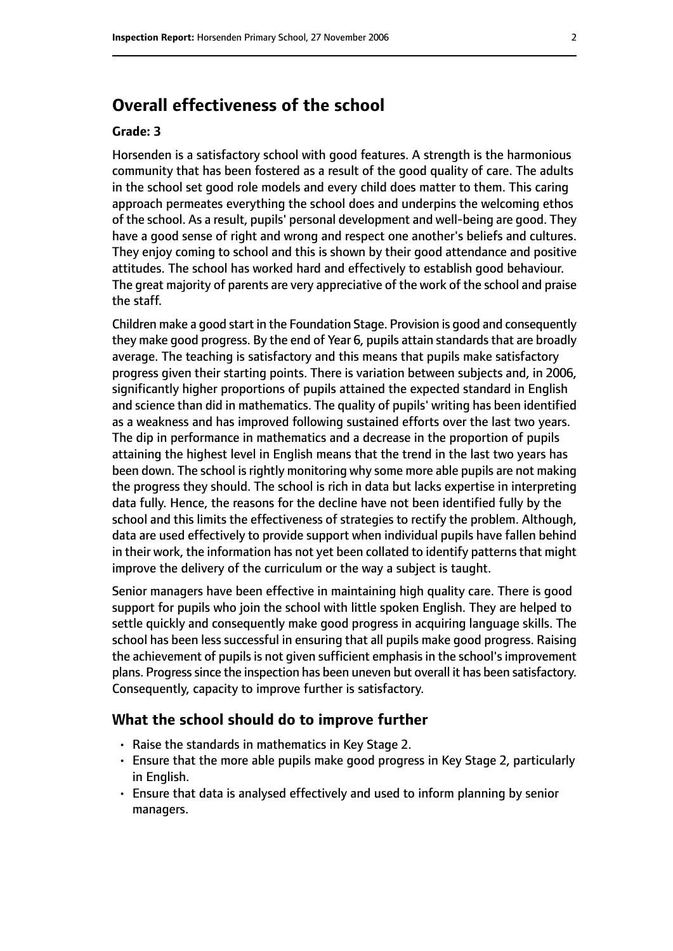### **Overall effectiveness of the school**

#### **Grade: 3**

Horsenden is a satisfactory school with good features. A strength is the harmonious community that has been fostered as a result of the good quality of care. The adults in the school set good role models and every child does matter to them. This caring approach permeates everything the school does and underpins the welcoming ethos of the school. As a result, pupils' personal development and well-being are good. They have a good sense of right and wrong and respect one another's beliefs and cultures. They enjoy coming to school and this is shown by their good attendance and positive attitudes. The school has worked hard and effectively to establish good behaviour. The great majority of parents are very appreciative of the work of the school and praise the staff.

Children make a good start in the Foundation Stage. Provision is good and consequently they make good progress. By the end of Year 6, pupils attain standards that are broadly average. The teaching is satisfactory and this means that pupils make satisfactory progress given their starting points. There is variation between subjects and, in 2006, significantly higher proportions of pupils attained the expected standard in English and science than did in mathematics. The quality of pupils' writing has been identified as a weakness and has improved following sustained efforts over the last two years. The dip in performance in mathematics and a decrease in the proportion of pupils attaining the highest level in English means that the trend in the last two years has been down. The school is rightly monitoring why some more able pupils are not making the progress they should. The school is rich in data but lacks expertise in interpreting data fully. Hence, the reasons for the decline have not been identified fully by the school and this limits the effectiveness of strategies to rectify the problem. Although, data are used effectively to provide support when individual pupils have fallen behind in their work, the information has not yet been collated to identify patterns that might improve the delivery of the curriculum or the way a subject is taught.

Senior managers have been effective in maintaining high quality care. There is good support for pupils who join the school with little spoken English. They are helped to settle quickly and consequently make good progress in acquiring language skills. The school has been less successful in ensuring that all pupils make good progress. Raising the achievement of pupils is not given sufficient emphasis in the school's improvement plans. Progress since the inspection has been uneven but overall it has been satisfactory. Consequently, capacity to improve further is satisfactory.

#### **What the school should do to improve further**

- Raise the standards in mathematics in Key Stage 2.
- Ensure that the more able pupils make good progress in Key Stage 2, particularly in English.
- Ensure that data is analysed effectively and used to inform planning by senior managers.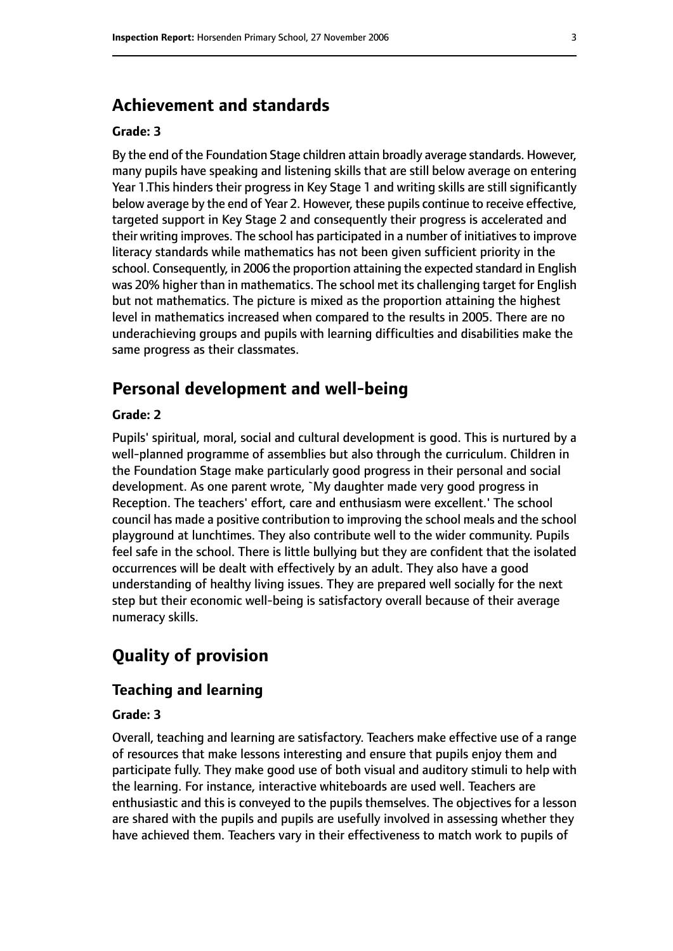#### **Achievement and standards**

#### **Grade: 3**

By the end of the Foundation Stage children attain broadly average standards. However, many pupils have speaking and listening skills that are still below average on entering Year 1.This hinders their progress in Key Stage 1 and writing skills are still significantly below average by the end of Year 2. However, these pupils continue to receive effective, targeted support in Key Stage 2 and consequently their progress is accelerated and their writing improves. The school has participated in a number of initiatives to improve literacy standards while mathematics has not been given sufficient priority in the school. Consequently, in 2006 the proportion attaining the expected standard in English was 20% higher than in mathematics. The school met its challenging target for English but not mathematics. The picture is mixed as the proportion attaining the highest level in mathematics increased when compared to the results in 2005. There are no underachieving groups and pupils with learning difficulties and disabilities make the same progress as their classmates.

#### **Personal development and well-being**

#### **Grade: 2**

Pupils' spiritual, moral, social and cultural development is good. This is nurtured by a well-planned programme of assemblies but also through the curriculum. Children in the Foundation Stage make particularly good progress in their personal and social development. As one parent wrote, `My daughter made very good progress in Reception. The teachers' effort, care and enthusiasm were excellent.' The school council has made a positive contribution to improving the school meals and the school playground at lunchtimes. They also contribute well to the wider community. Pupils feel safe in the school. There is little bullying but they are confident that the isolated occurrences will be dealt with effectively by an adult. They also have a good understanding of healthy living issues. They are prepared well socially for the next step but their economic well-being is satisfactory overall because of their average numeracy skills.

# **Quality of provision**

#### **Teaching and learning**

#### **Grade: 3**

Overall, teaching and learning are satisfactory. Teachers make effective use of a range of resources that make lessons interesting and ensure that pupils enjoy them and participate fully. They make good use of both visual and auditory stimuli to help with the learning. For instance, interactive whiteboards are used well. Teachers are enthusiastic and this is conveyed to the pupils themselves. The objectives for a lesson are shared with the pupils and pupils are usefully involved in assessing whether they have achieved them. Teachers vary in their effectiveness to match work to pupils of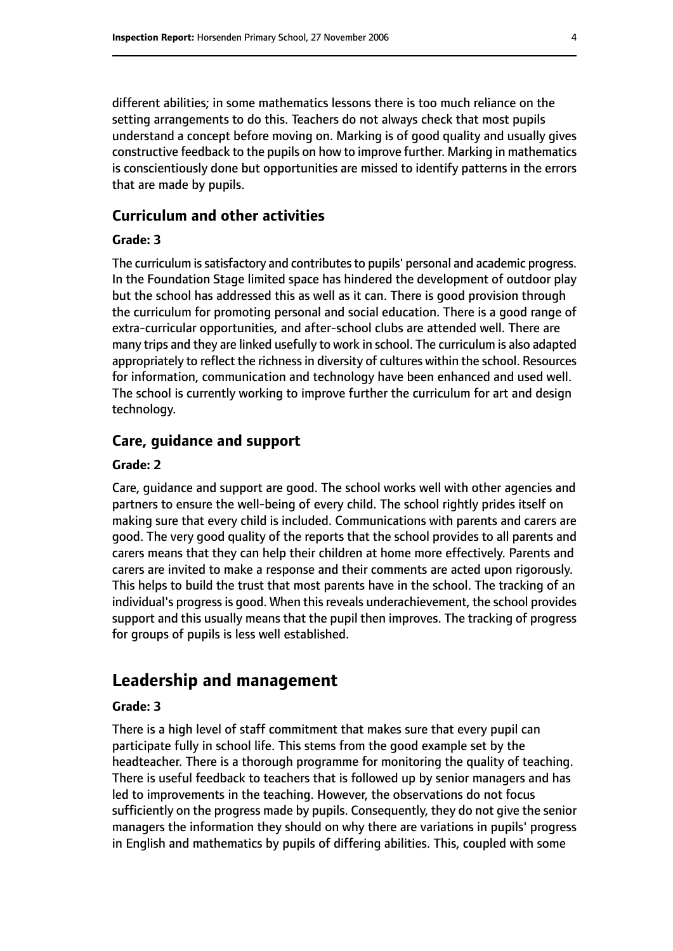different abilities; in some mathematics lessons there is too much reliance on the setting arrangements to do this. Teachers do not always check that most pupils understand a concept before moving on. Marking is of good quality and usually gives constructive feedback to the pupils on how to improve further. Marking in mathematics is conscientiously done but opportunities are missed to identify patterns in the errors that are made by pupils.

#### **Curriculum and other activities**

#### **Grade: 3**

The curriculum is satisfactory and contributes to pupils' personal and academic progress. In the Foundation Stage limited space has hindered the development of outdoor play but the school has addressed this as well as it can. There is good provision through the curriculum for promoting personal and social education. There is a good range of extra-curricular opportunities, and after-school clubs are attended well. There are many trips and they are linked usefully to work in school. The curriculum is also adapted appropriately to reflect the richness in diversity of cultures within the school. Resources for information, communication and technology have been enhanced and used well. The school is currently working to improve further the curriculum for art and design technology.

#### **Care, guidance and support**

#### **Grade: 2**

Care, guidance and support are good. The school works well with other agencies and partners to ensure the well-being of every child. The school rightly prides itself on making sure that every child is included. Communications with parents and carers are good. The very good quality of the reports that the school provides to all parents and carers means that they can help their children at home more effectively. Parents and carers are invited to make a response and their comments are acted upon rigorously. This helps to build the trust that most parents have in the school. The tracking of an individual's progress is good. When this reveals underachievement, the school provides support and this usually means that the pupil then improves. The tracking of progress for groups of pupils is less well established.

#### **Leadership and management**

#### **Grade: 3**

There is a high level of staff commitment that makes sure that every pupil can participate fully in school life. This stems from the good example set by the headteacher. There is a thorough programme for monitoring the quality of teaching. There is useful feedback to teachers that is followed up by senior managers and has led to improvements in the teaching. However, the observations do not focus sufficiently on the progress made by pupils. Consequently, they do not give the senior managers the information they should on why there are variations in pupils' progress in English and mathematics by pupils of differing abilities. This, coupled with some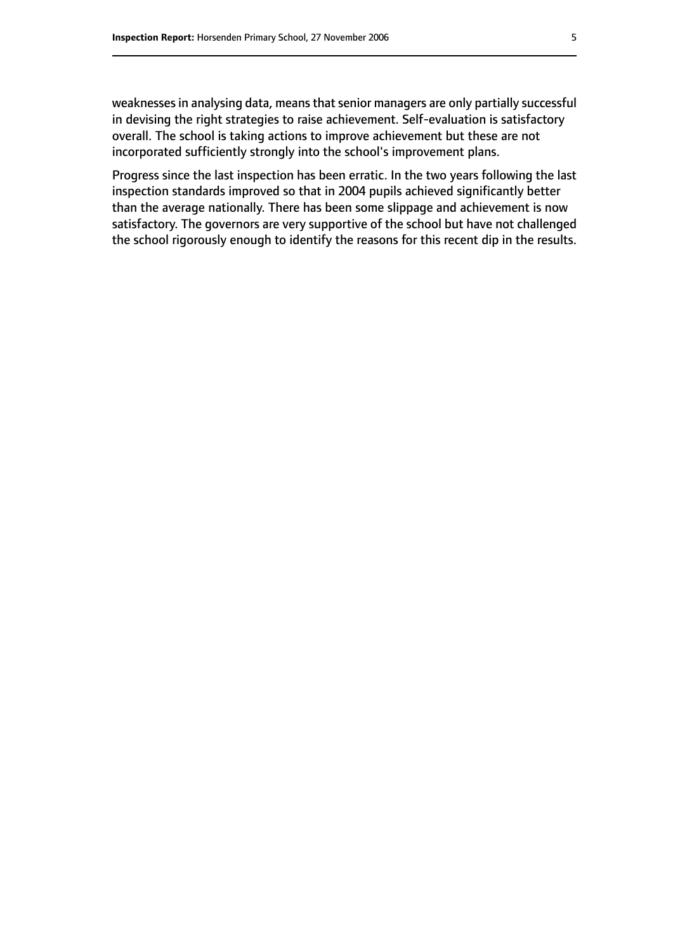weaknesses in analysing data, means that senior managers are only partially successful in devising the right strategies to raise achievement. Self-evaluation is satisfactory overall. The school is taking actions to improve achievement but these are not incorporated sufficiently strongly into the school's improvement plans.

Progress since the last inspection has been erratic. In the two years following the last inspection standards improved so that in 2004 pupils achieved significantly better than the average nationally. There has been some slippage and achievement is now satisfactory. The governors are very supportive of the school but have not challenged the school rigorously enough to identify the reasons for this recent dip in the results.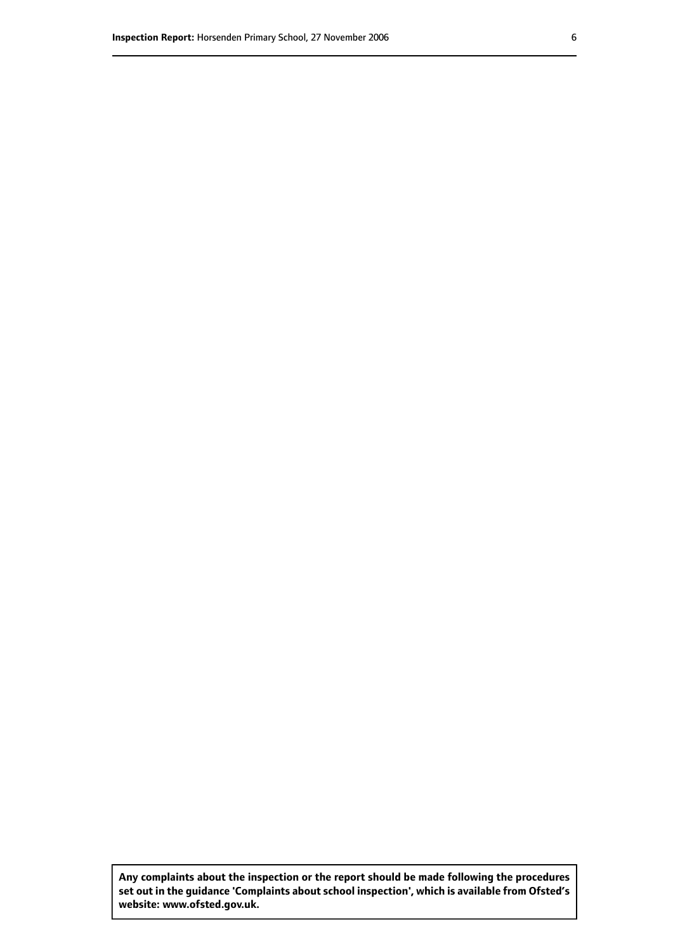**Any complaints about the inspection or the report should be made following the procedures set out inthe guidance 'Complaints about school inspection', whichis available from Ofsted's website: www.ofsted.gov.uk.**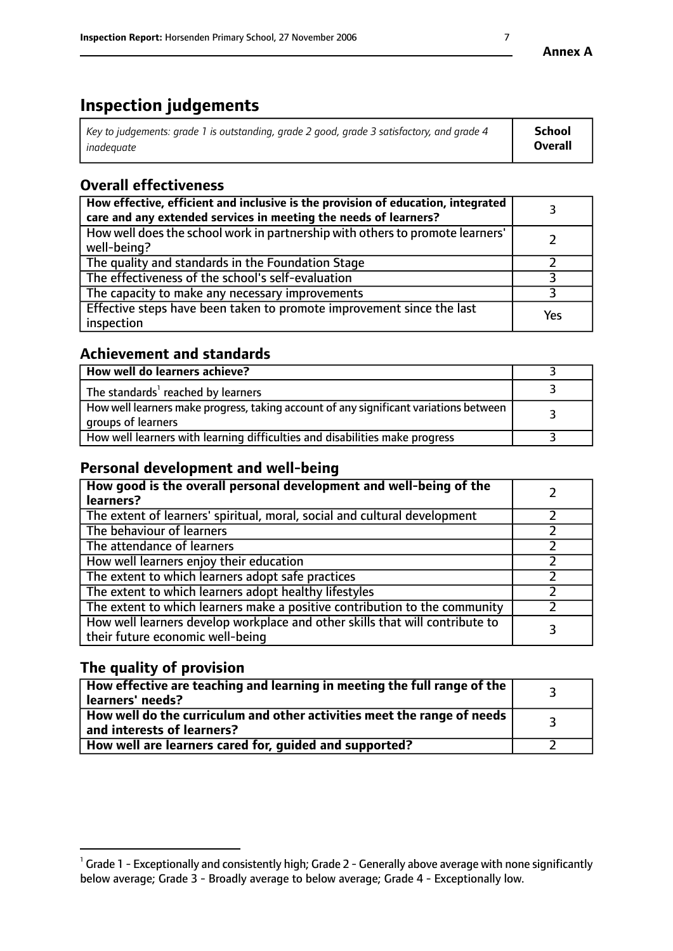# **Inspection judgements**

| Key to judgements: grade 1 is outstanding, grade 2 good, grade 3 satisfactory, and grade 4 | <b>School</b>  |
|--------------------------------------------------------------------------------------------|----------------|
| inadeauate                                                                                 | <b>Overall</b> |

# **Overall effectiveness**

| How effective, efficient and inclusive is the provision of education, integrated<br>care and any extended services in meeting the needs of learners? |     |
|------------------------------------------------------------------------------------------------------------------------------------------------------|-----|
| How well does the school work in partnership with others to promote learners'<br>well-being?                                                         |     |
| The quality and standards in the Foundation Stage                                                                                                    |     |
| The effectiveness of the school's self-evaluation                                                                                                    |     |
| The capacity to make any necessary improvements                                                                                                      |     |
| Effective steps have been taken to promote improvement since the last<br>inspection                                                                  | Yes |

#### **Achievement and standards**

| How well do learners achieve?                                                                               |  |
|-------------------------------------------------------------------------------------------------------------|--|
| The standards <sup>1</sup> reached by learners                                                              |  |
| How well learners make progress, taking account of any significant variations between<br>groups of learners |  |
| How well learners with learning difficulties and disabilities make progress                                 |  |

#### **Personal development and well-being**

| How good is the overall personal development and well-being of the<br>learners?                                  |  |
|------------------------------------------------------------------------------------------------------------------|--|
| The extent of learners' spiritual, moral, social and cultural development                                        |  |
| The behaviour of learners                                                                                        |  |
| The attendance of learners                                                                                       |  |
| How well learners enjoy their education                                                                          |  |
| The extent to which learners adopt safe practices                                                                |  |
| The extent to which learners adopt healthy lifestyles                                                            |  |
| The extent to which learners make a positive contribution to the community                                       |  |
| How well learners develop workplace and other skills that will contribute to<br>their future economic well-being |  |

#### **The quality of provision**

| How effective are teaching and learning in meeting the full range of the<br>learners' needs?          |  |
|-------------------------------------------------------------------------------------------------------|--|
| How well do the curriculum and other activities meet the range of needs<br>and interests of learners? |  |
| How well are learners cared for, guided and supported?                                                |  |

 $^1$  Grade 1 - Exceptionally and consistently high; Grade 2 - Generally above average with none significantly below average; Grade 3 - Broadly average to below average; Grade 4 - Exceptionally low.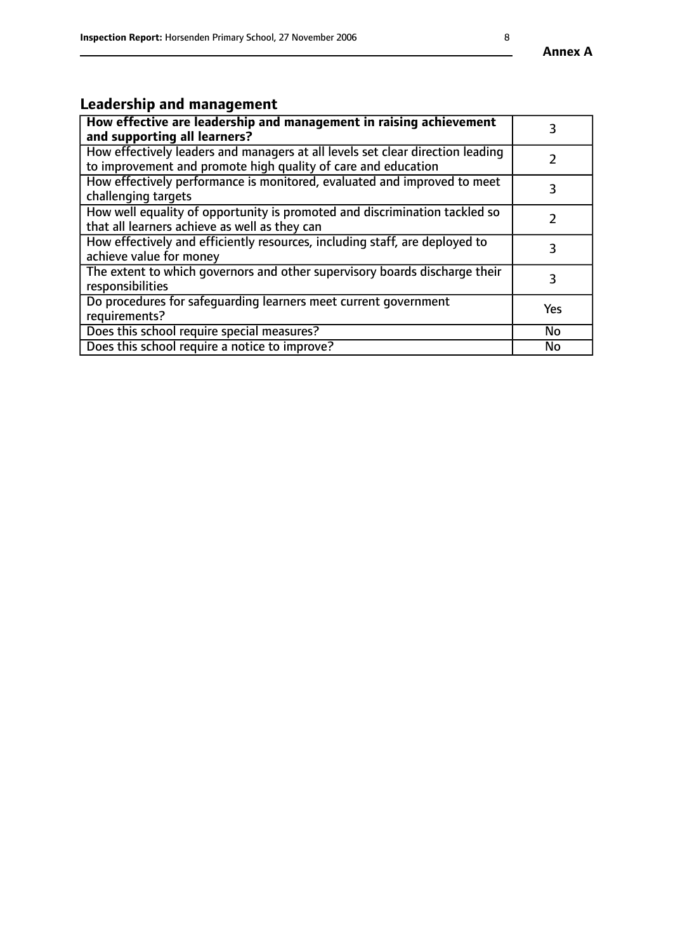#### **Annex A**

# **Leadership and management**

| How effective are leadership and management in raising achievement<br>and supporting all learners?                                              |           |
|-------------------------------------------------------------------------------------------------------------------------------------------------|-----------|
| How effectively leaders and managers at all levels set clear direction leading<br>to improvement and promote high quality of care and education |           |
| How effectively performance is monitored, evaluated and improved to meet<br>challenging targets                                                 |           |
| How well equality of opportunity is promoted and discrimination tackled so<br>that all learners achieve as well as they can                     |           |
| How effectively and efficiently resources, including staff, are deployed to<br>achieve value for money                                          | З         |
| The extent to which governors and other supervisory boards discharge their<br>responsibilities                                                  |           |
| Do procedures for safequarding learners meet current government<br>requirements?                                                                | Yes       |
| Does this school require special measures?                                                                                                      | <b>No</b> |
| Does this school require a notice to improve?                                                                                                   | No        |